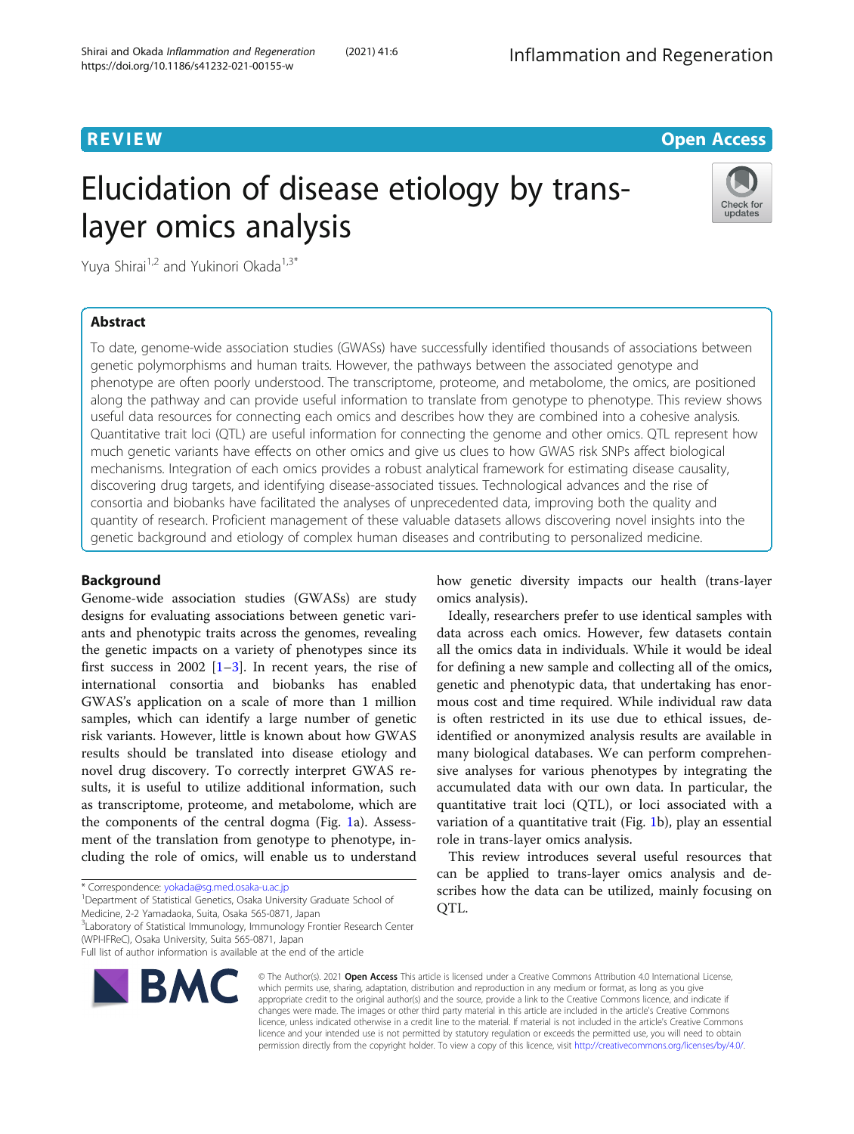## **REVIEW CONTROL** CONTROL CONTROL CONTROL CONTROL CONTROL CONTROL CONTROL CONTROL CONTROL CONTROL CONTROL CONTROL

# Elucidation of disease etiology by translayer omics analysis



Yuya Shirai<sup>1,2</sup> and Yukinori Okada<sup>1,3\*</sup>

## Abstract

To date, genome-wide association studies (GWASs) have successfully identified thousands of associations between genetic polymorphisms and human traits. However, the pathways between the associated genotype and phenotype are often poorly understood. The transcriptome, proteome, and metabolome, the omics, are positioned along the pathway and can provide useful information to translate from genotype to phenotype. This review shows useful data resources for connecting each omics and describes how they are combined into a cohesive analysis. Quantitative trait loci (QTL) are useful information for connecting the genome and other omics. QTL represent how much genetic variants have effects on other omics and give us clues to how GWAS risk SNPs affect biological mechanisms. Integration of each omics provides a robust analytical framework for estimating disease causality, discovering drug targets, and identifying disease-associated tissues. Technological advances and the rise of consortia and biobanks have facilitated the analyses of unprecedented data, improving both the quality and quantity of research. Proficient management of these valuable datasets allows discovering novel insights into the genetic background and etiology of complex human diseases and contributing to personalized medicine.

## Background

Genome-wide association studies (GWASs) are study designs for evaluating associations between genetic variants and phenotypic traits across the genomes, revealing the genetic impacts on a variety of phenotypes since its first success in 2002  $[1-3]$  $[1-3]$  $[1-3]$  $[1-3]$ . In recent years, the rise of international consortia and biobanks has enabled GWAS's application on a scale of more than 1 million samples, which can identify a large number of genetic risk variants. However, little is known about how GWAS results should be translated into disease etiology and novel drug discovery. To correctly interpret GWAS results, it is useful to utilize additional information, such as transcriptome, proteome, and metabolome, which are the components of the central dogma (Fig. [1a](#page-1-0)). Assessment of the translation from genotype to phenotype, including the role of omics, will enable us to understand

<sup>1</sup> Department of Statistical Genetics, Osaka University Graduate School of Medicine, 2-2 Yamadaoka, Suita, Osaka 565-0871, Japan

Full list of author information is available at the end of the article



© The Author(s). 2021 Open Access This article is licensed under a Creative Commons Attribution 4.0 International License, which permits use, sharing, adaptation, distribution and reproduction in any medium or format, as long as you give appropriate credit to the original author(s) and the source, provide a link to the Creative Commons licence, and indicate if changes were made. The images or other third party material in this article are included in the article's Creative Commons licence, unless indicated otherwise in a credit line to the material. If material is not included in the article's Creative Commons licence and your intended use is not permitted by statutory regulation or exceeds the permitted use, you will need to obtain permission directly from the copyright holder. To view a copy of this licence, visit [http://creativecommons.org/licenses/by/4.0/.](http://creativecommons.org/licenses/by/4.0/)

how genetic diversity impacts our health (trans-layer omics analysis).

Ideally, researchers prefer to use identical samples with data across each omics. However, few datasets contain all the omics data in individuals. While it would be ideal for defining a new sample and collecting all of the omics, genetic and phenotypic data, that undertaking has enormous cost and time required. While individual raw data is often restricted in its use due to ethical issues, deidentified or anonymized analysis results are available in many biological databases. We can perform comprehensive analyses for various phenotypes by integrating the accumulated data with our own data. In particular, the quantitative trait loci (QTL), or loci associated with a variation of a quantitative trait (Fig. [1](#page-1-0)b), play an essential role in trans-layer omics analysis.

This review introduces several useful resources that can be applied to trans-layer omics analysis and describes how the data can be utilized, mainly focusing on QTL.

<sup>\*</sup> Correspondence: [yokada@sg.med.osaka-u.ac.jp](mailto:yokada@sg.med.osaka-u.ac.jp) <sup>1</sup>

<sup>&</sup>lt;sup>3</sup>Laboratory of Statistical Immunology, Immunology Frontier Research Center (WPI-IFReC), Osaka University, Suita 565-0871, Japan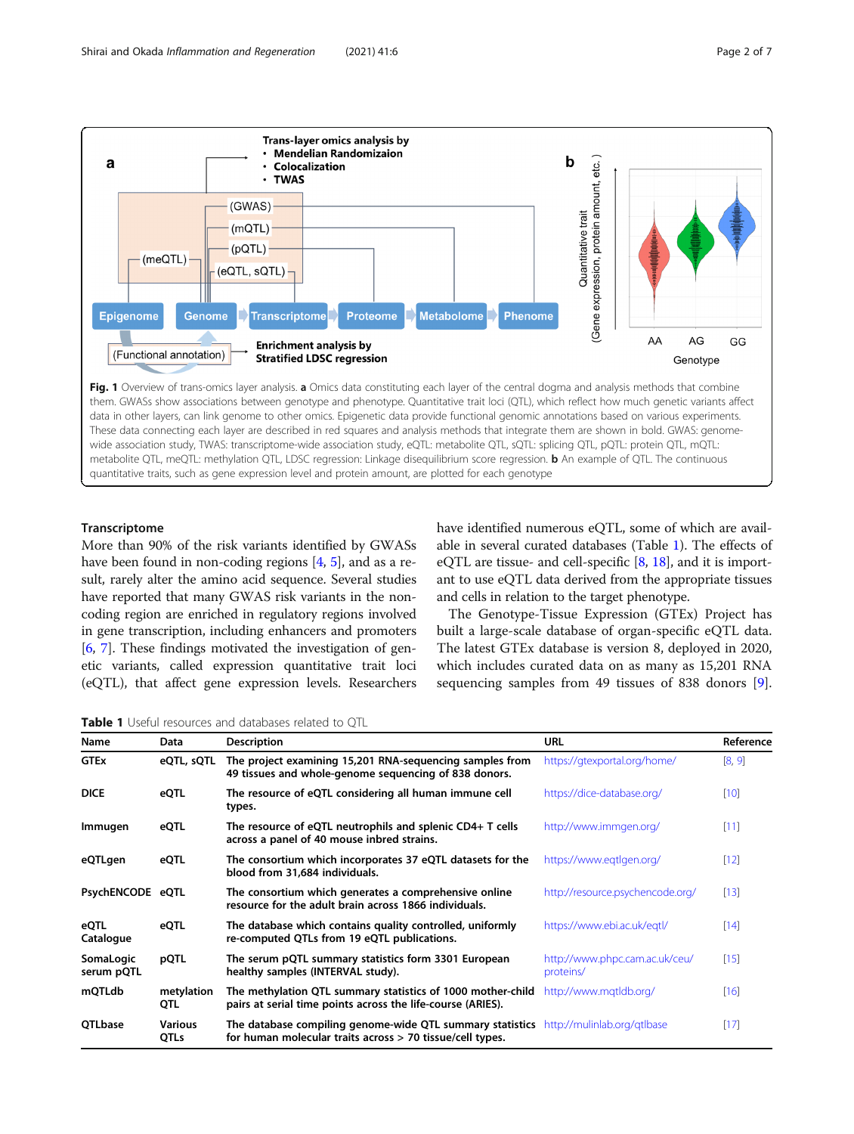<span id="page-1-0"></span>

data in other layers, can link genome to other omics. Epigenetic data provide functional genomic annotations based on various experiments. These data connecting each layer are described in red squares and analysis methods that integrate them are shown in bold. GWAS: genomewide association study, TWAS: transcriptome-wide association study, eQTL: metabolite QTL, sQTL: splicing QTL, pQTL: protein QTL, mQTL: metabolite QTL, meQTL: methylation QTL, LDSC regression: Linkage disequilibrium score regression. b An example of QTL. The continuous quantitative traits, such as gene expression level and protein amount, are plotted for each genotype

### Transcriptome

More than 90% of the risk variants identified by GWASs have been found in non-coding regions [[4,](#page-5-0) [5](#page-5-0)], and as a result, rarely alter the amino acid sequence. Several studies have reported that many GWAS risk variants in the noncoding region are enriched in regulatory regions involved in gene transcription, including enhancers and promoters [[6,](#page-5-0) [7](#page-5-0)]. These findings motivated the investigation of genetic variants, called expression quantitative trait loci (eQTL), that affect gene expression levels. Researchers have identified numerous eQTL, some of which are available in several curated databases (Table 1). The effects of eQTL are tissue- and cell-specific [\[8](#page-5-0), [18\]](#page-6-0), and it is important to use eQTL data derived from the appropriate tissues and cells in relation to the target phenotype.

The Genotype-Tissue Expression (GTEx) Project has built a large-scale database of organ-specific eQTL data. The latest GTEx database is version 8, deployed in 2020, which includes curated data on as many as 15,201 RNA sequencing samples from 49 tissues of 838 donors [\[9](#page-5-0)].

Table 1 Useful resources and databases related to OTL

| Name                    | <b>Data</b>            | <b>Description</b>                                                                                                                                 | <b>URL</b>                                  | Reference |
|-------------------------|------------------------|----------------------------------------------------------------------------------------------------------------------------------------------------|---------------------------------------------|-----------|
| <b>GTEx</b>             | eQTL, sQTL             | The project examining 15,201 RNA-sequencing samples from<br>49 tissues and whole-genome sequencing of 838 donors.                                  | https://gtexportal.org/home/                | [8, 9]    |
| <b>DICE</b>             | eQTL                   | The resource of eQTL considering all human immune cell<br>types.                                                                                   | https://dice-database.org/                  | $[10]$    |
| Immugen                 | eQTL                   | The resource of eQTL neutrophils and splenic CD4+ T cells<br>across a panel of 40 mouse inbred strains.                                            | http://www.immgen.org/                      | $[11]$    |
| eQTLgen                 | eQTL                   | The consortium which incorporates 37 eQTL datasets for the<br>blood from 31,684 individuals.                                                       | https://www.eqtlgen.org/                    | $[12]$    |
| PsychENCODE eQTL        |                        | The consortium which generates a comprehensive online<br>resource for the adult brain across 1866 individuals.                                     | http://resource.psychencode.org/            | $[13]$    |
| eQTL<br>Catalogue       | eQTL                   | The database which contains quality controlled, uniformly<br>re-computed QTLs from 19 eQTL publications.                                           | https://www.ebi.ac.uk/egtl/                 | [14]      |
| SomaLogic<br>serum pQTL | pQTL                   | The serum pQTL summary statistics form 3301 European<br>healthy samples (INTERVAL study).                                                          | http://www.phpc.cam.ac.uk/ceu/<br>proteins/ | $[15]$    |
| mQTLdb                  | metylation<br>QTL      | The methylation QTL summary statistics of 1000 mother-child<br>pairs at serial time points across the life-course (ARIES).                         | http://www.mqtldb.org/                      | $[16]$    |
| QTLbase                 | <b>Various</b><br>QTLs | The database compiling genome-wide QTL summary statistics http://mulinlab.org/qtlbase<br>for human molecular traits across > 70 tissue/cell types. |                                             | $[17]$    |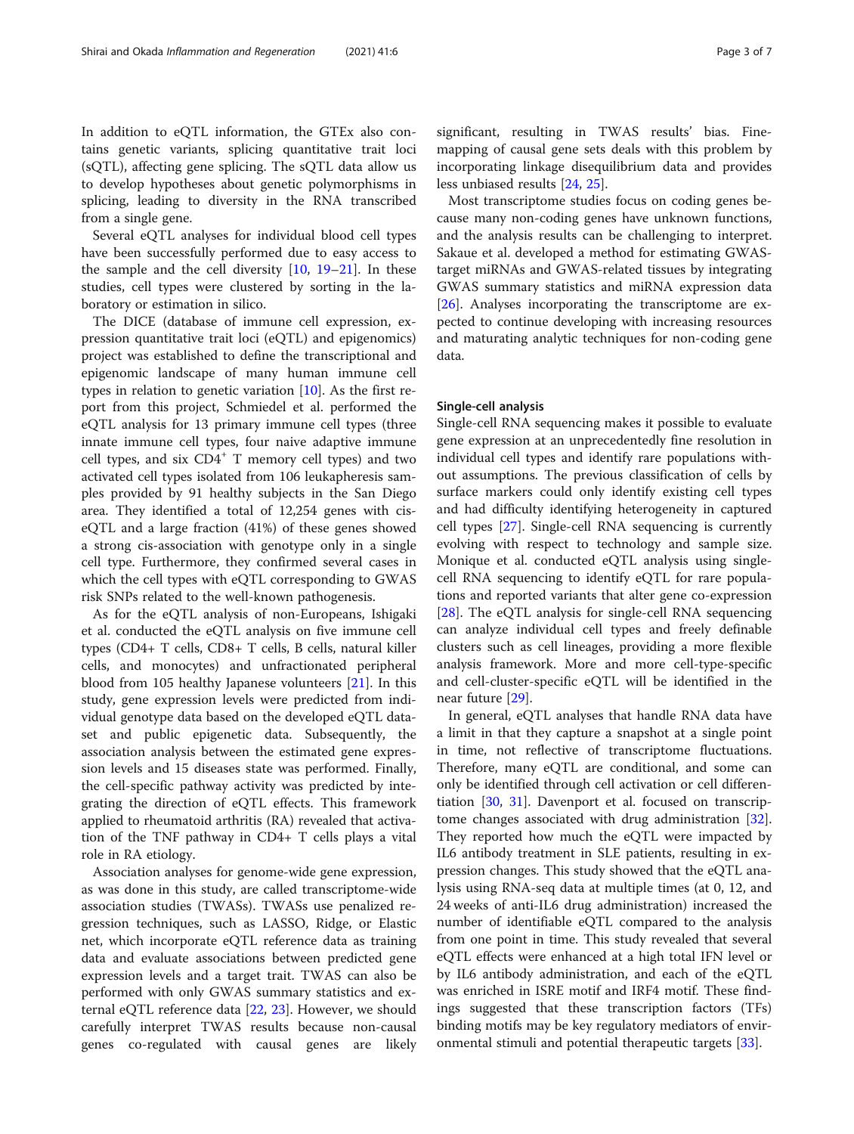In addition to eQTL information, the GTEx also contains genetic variants, splicing quantitative trait loci

(sQTL), affecting gene splicing. The sQTL data allow us to develop hypotheses about genetic polymorphisms in splicing, leading to diversity in the RNA transcribed from a single gene.

Several eQTL analyses for individual blood cell types have been successfully performed due to easy access to the sample and the cell diversity  $[10, 19-21]$  $[10, 19-21]$  $[10, 19-21]$  $[10, 19-21]$  $[10, 19-21]$  $[10, 19-21]$ . In these studies, cell types were clustered by sorting in the laboratory or estimation in silico.

The DICE (database of immune cell expression, expression quantitative trait loci (eQTL) and epigenomics) project was established to define the transcriptional and epigenomic landscape of many human immune cell types in relation to genetic variation [[10\]](#page-5-0). As the first report from this project, Schmiedel et al. performed the eQTL analysis for 13 primary immune cell types (three innate immune cell types, four naive adaptive immune cell types, and six  $CD4^+$  T memory cell types) and two activated cell types isolated from 106 leukapheresis samples provided by 91 healthy subjects in the San Diego area. They identified a total of 12,254 genes with ciseQTL and a large fraction (41%) of these genes showed a strong cis-association with genotype only in a single cell type. Furthermore, they confirmed several cases in which the cell types with eQTL corresponding to GWAS risk SNPs related to the well-known pathogenesis.

As for the eQTL analysis of non-Europeans, Ishigaki et al. conducted the eQTL analysis on five immune cell types (CD4+ T cells, CD8+ T cells, B cells, natural killer cells, and monocytes) and unfractionated peripheral blood from 105 healthy Japanese volunteers [\[21\]](#page-6-0). In this study, gene expression levels were predicted from individual genotype data based on the developed eQTL dataset and public epigenetic data. Subsequently, the association analysis between the estimated gene expression levels and 15 diseases state was performed. Finally, the cell-specific pathway activity was predicted by integrating the direction of eQTL effects. This framework applied to rheumatoid arthritis (RA) revealed that activation of the TNF pathway in CD4+ T cells plays a vital role in RA etiology.

Association analyses for genome-wide gene expression, as was done in this study, are called transcriptome-wide association studies (TWASs). TWASs use penalized regression techniques, such as LASSO, Ridge, or Elastic net, which incorporate eQTL reference data as training data and evaluate associations between predicted gene expression levels and a target trait. TWAS can also be performed with only GWAS summary statistics and external eQTL reference data [\[22](#page-6-0), [23](#page-6-0)]. However, we should carefully interpret TWAS results because non-causal genes co-regulated with causal genes are likely significant, resulting in TWAS results' bias. Finemapping of causal gene sets deals with this problem by incorporating linkage disequilibrium data and provides less unbiased results [\[24,](#page-6-0) [25\]](#page-6-0).

Most transcriptome studies focus on coding genes because many non-coding genes have unknown functions, and the analysis results can be challenging to interpret. Sakaue et al. developed a method for estimating GWAStarget miRNAs and GWAS-related tissues by integrating GWAS summary statistics and miRNA expression data [[26\]](#page-6-0). Analyses incorporating the transcriptome are expected to continue developing with increasing resources and maturating analytic techniques for non-coding gene data.

#### Single-cell analysis

Single-cell RNA sequencing makes it possible to evaluate gene expression at an unprecedentedly fine resolution in individual cell types and identify rare populations without assumptions. The previous classification of cells by surface markers could only identify existing cell types and had difficulty identifying heterogeneity in captured cell types [\[27\]](#page-6-0). Single-cell RNA sequencing is currently evolving with respect to technology and sample size. Monique et al. conducted eQTL analysis using singlecell RNA sequencing to identify eQTL for rare populations and reported variants that alter gene co-expression [[28\]](#page-6-0). The eQTL analysis for single-cell RNA sequencing can analyze individual cell types and freely definable clusters such as cell lineages, providing a more flexible analysis framework. More and more cell-type-specific and cell-cluster-specific eQTL will be identified in the near future [\[29](#page-6-0)].

In general, eQTL analyses that handle RNA data have a limit in that they capture a snapshot at a single point in time, not reflective of transcriptome fluctuations. Therefore, many eQTL are conditional, and some can only be identified through cell activation or cell differentiation [[30,](#page-6-0) [31](#page-6-0)]. Davenport et al. focused on transcriptome changes associated with drug administration [\[32](#page-6-0)]. They reported how much the eQTL were impacted by IL6 antibody treatment in SLE patients, resulting in expression changes. This study showed that the eQTL analysis using RNA-seq data at multiple times (at 0, 12, and 24 weeks of anti-IL6 drug administration) increased the number of identifiable eQTL compared to the analysis from one point in time. This study revealed that several eQTL effects were enhanced at a high total IFN level or by IL6 antibody administration, and each of the eQTL was enriched in ISRE motif and IRF4 motif. These findings suggested that these transcription factors (TFs) binding motifs may be key regulatory mediators of environmental stimuli and potential therapeutic targets [[33](#page-6-0)].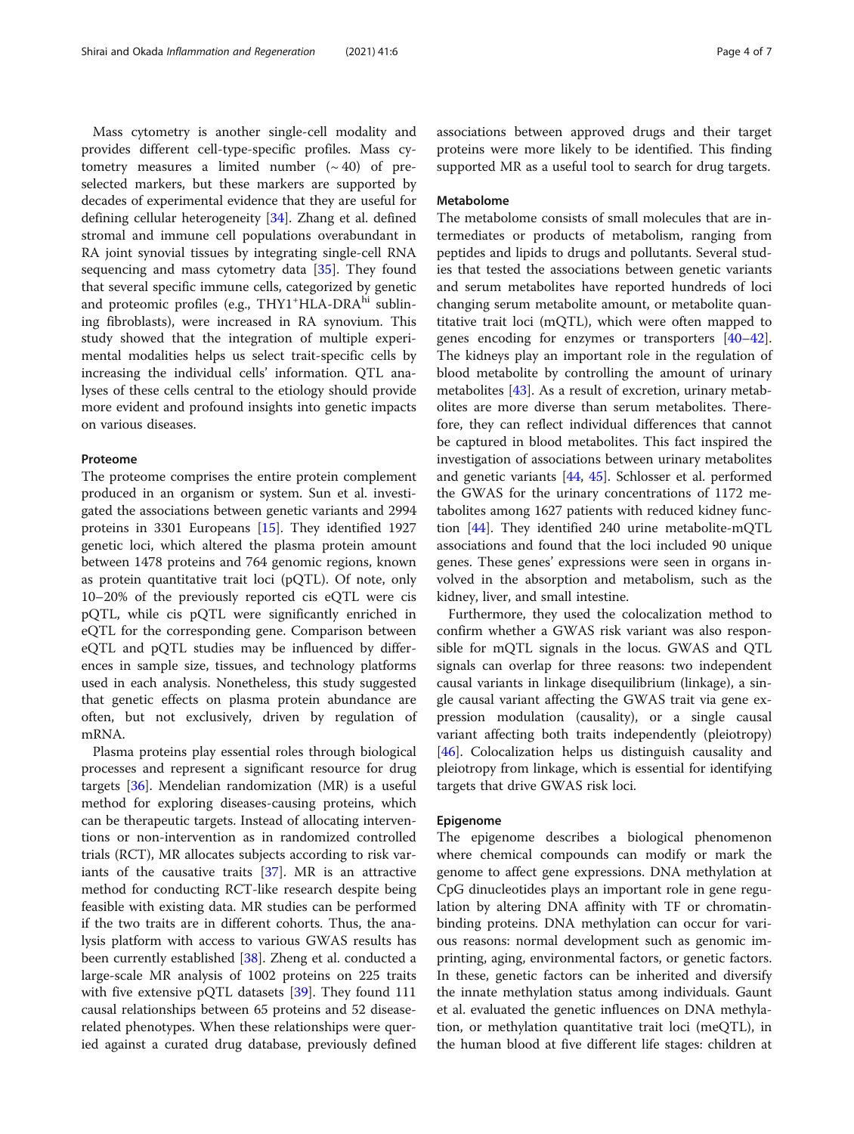Mass cytometry is another single-cell modality and provides different cell-type-specific profiles. Mass cytometry measures a limited number  $({\sim}40)$  of preselected markers, but these markers are supported by decades of experimental evidence that they are useful for defining cellular heterogeneity [[34](#page-6-0)]. Zhang et al. defined stromal and immune cell populations overabundant in RA joint synovial tissues by integrating single-cell RNA sequencing and mass cytometry data [[35](#page-6-0)]. They found that several specific immune cells, categorized by genetic and proteomic profiles (e.g., THY1<sup>+</sup>HLA-DRA<sup>hi</sup> sublining fibroblasts), were increased in RA synovium. This study showed that the integration of multiple experimental modalities helps us select trait-specific cells by increasing the individual cells' information. QTL analyses of these cells central to the etiology should provide more evident and profound insights into genetic impacts on various diseases.

## Proteome

The proteome comprises the entire protein complement produced in an organism or system. Sun et al. investigated the associations between genetic variants and 2994 proteins in 3301 Europeans [[15](#page-5-0)]. They identified 1927 genetic loci, which altered the plasma protein amount between 1478 proteins and 764 genomic regions, known as protein quantitative trait loci (pQTL). Of note, only 10–20% of the previously reported cis eQTL were cis pQTL, while cis pQTL were significantly enriched in eQTL for the corresponding gene. Comparison between eQTL and pQTL studies may be influenced by differences in sample size, tissues, and technology platforms used in each analysis. Nonetheless, this study suggested that genetic effects on plasma protein abundance are often, but not exclusively, driven by regulation of mRNA.

Plasma proteins play essential roles through biological processes and represent a significant resource for drug targets [\[36](#page-6-0)]. Mendelian randomization (MR) is a useful method for exploring diseases-causing proteins, which can be therapeutic targets. Instead of allocating interventions or non-intervention as in randomized controlled trials (RCT), MR allocates subjects according to risk variants of the causative traits [[37\]](#page-6-0). MR is an attractive method for conducting RCT-like research despite being feasible with existing data. MR studies can be performed if the two traits are in different cohorts. Thus, the analysis platform with access to various GWAS results has been currently established [\[38\]](#page-6-0). Zheng et al. conducted a large-scale MR analysis of 1002 proteins on 225 traits with five extensive pQTL datasets [\[39\]](#page-6-0). They found 111 causal relationships between 65 proteins and 52 diseaserelated phenotypes. When these relationships were queried against a curated drug database, previously defined

associations between approved drugs and their target proteins were more likely to be identified. This finding supported MR as a useful tool to search for drug targets.

## Metabolome

The metabolome consists of small molecules that are intermediates or products of metabolism, ranging from peptides and lipids to drugs and pollutants. Several studies that tested the associations between genetic variants and serum metabolites have reported hundreds of loci changing serum metabolite amount, or metabolite quantitative trait loci (mQTL), which were often mapped to genes encoding for enzymes or transporters [[40](#page-6-0)–[42](#page-6-0)]. The kidneys play an important role in the regulation of blood metabolite by controlling the amount of urinary metabolites [[43\]](#page-6-0). As a result of excretion, urinary metabolites are more diverse than serum metabolites. Therefore, they can reflect individual differences that cannot be captured in blood metabolites. This fact inspired the investigation of associations between urinary metabolites and genetic variants [\[44](#page-6-0), [45\]](#page-6-0). Schlosser et al. performed the GWAS for the urinary concentrations of 1172 metabolites among 1627 patients with reduced kidney function  $[44]$ . They identified 240 urine metabolite-mQTL associations and found that the loci included 90 unique genes. These genes' expressions were seen in organs involved in the absorption and metabolism, such as the kidney, liver, and small intestine.

Furthermore, they used the colocalization method to confirm whether a GWAS risk variant was also responsible for mQTL signals in the locus. GWAS and QTL signals can overlap for three reasons: two independent causal variants in linkage disequilibrium (linkage), a single causal variant affecting the GWAS trait via gene expression modulation (causality), or a single causal variant affecting both traits independently (pleiotropy) [[46\]](#page-6-0). Colocalization helps us distinguish causality and pleiotropy from linkage, which is essential for identifying targets that drive GWAS risk loci.

#### Epigenome

The epigenome describes a biological phenomenon where chemical compounds can modify or mark the genome to affect gene expressions. DNA methylation at CpG dinucleotides plays an important role in gene regulation by altering DNA affinity with TF or chromatinbinding proteins. DNA methylation can occur for various reasons: normal development such as genomic imprinting, aging, environmental factors, or genetic factors. In these, genetic factors can be inherited and diversify the innate methylation status among individuals. Gaunt et al. evaluated the genetic influences on DNA methylation, or methylation quantitative trait loci (meQTL), in the human blood at five different life stages: children at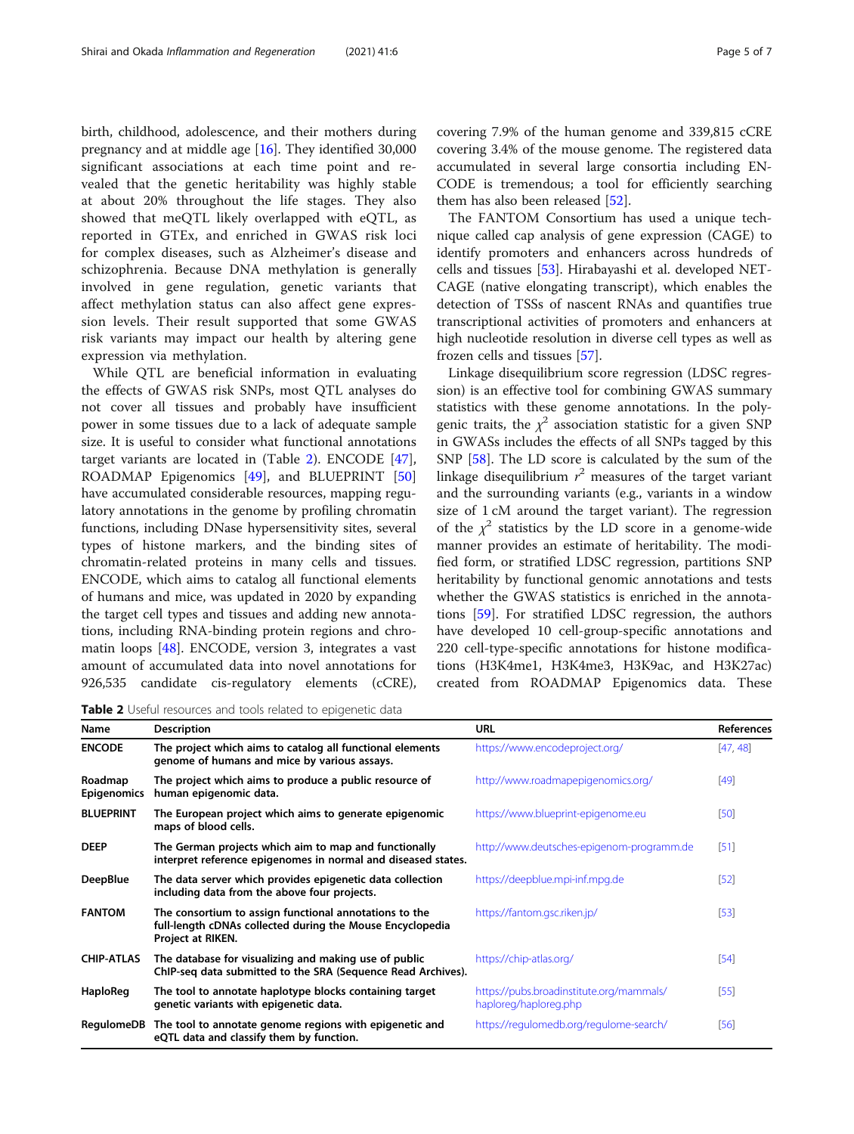birth, childhood, adolescence, and their mothers during pregnancy and at middle age [[16\]](#page-6-0). They identified 30,000 significant associations at each time point and revealed that the genetic heritability was highly stable at about 20% throughout the life stages. They also showed that meQTL likely overlapped with eQTL, as reported in GTEx, and enriched in GWAS risk loci for complex diseases, such as Alzheimer's disease and schizophrenia. Because DNA methylation is generally involved in gene regulation, genetic variants that affect methylation status can also affect gene expression levels. Their result supported that some GWAS risk variants may impact our health by altering gene expression via methylation.

While QTL are beneficial information in evaluating the effects of GWAS risk SNPs, most QTL analyses do not cover all tissues and probably have insufficient power in some tissues due to a lack of adequate sample size. It is useful to consider what functional annotations target variants are located in (Table 2). ENCODE [\[47](#page-6-0)], ROADMAP Epigenomics [\[49](#page-6-0)], and BLUEPRINT [[50](#page-6-0)] have accumulated considerable resources, mapping regulatory annotations in the genome by profiling chromatin functions, including DNase hypersensitivity sites, several types of histone markers, and the binding sites of chromatin-related proteins in many cells and tissues. ENCODE, which aims to catalog all functional elements of humans and mice, was updated in 2020 by expanding the target cell types and tissues and adding new annotations, including RNA-binding protein regions and chromatin loops [\[48](#page-6-0)]. ENCODE, version 3, integrates a vast amount of accumulated data into novel annotations for 926,535 candidate cis-regulatory elements (cCRE), covering 7.9% of the human genome and 339,815 cCRE covering 3.4% of the mouse genome. The registered data accumulated in several large consortia including EN-CODE is tremendous; a tool for efficiently searching them has also been released [\[52](#page-6-0)].

The FANTOM Consortium has used a unique technique called cap analysis of gene expression (CAGE) to identify promoters and enhancers across hundreds of cells and tissues [[53](#page-6-0)]. Hirabayashi et al. developed NET-CAGE (native elongating transcript), which enables the detection of TSSs of nascent RNAs and quantifies true transcriptional activities of promoters and enhancers at high nucleotide resolution in diverse cell types as well as frozen cells and tissues [[57\]](#page-6-0).

Linkage disequilibrium score regression (LDSC regression) is an effective tool for combining GWAS summary statistics with these genome annotations. In the polygenic traits, the  $\chi^2$  association statistic for a given SNP in GWASs includes the effects of all SNPs tagged by this SNP [\[58](#page-6-0)]. The LD score is calculated by the sum of the linkage disequilibrium  $r^2$  measures of the target variant and the surrounding variants (e.g., variants in a window size of 1 cM around the target variant). The regression of the  $\chi^2$  statistics by the LD score in a genome-wide manner provides an estimate of heritability. The modified form, or stratified LDSC regression, partitions SNP heritability by functional genomic annotations and tests whether the GWAS statistics is enriched in the annotations [[59\]](#page-6-0). For stratified LDSC regression, the authors have developed 10 cell-group-specific annotations and 220 cell-type-specific annotations for histone modifications (H3K4me1, H3K4me3, H3K9ac, and H3K27ac) created from ROADMAP Epigenomics data. These

Table 2 Useful resources and tools related to epigenetic data

| Name                          | <b>Description</b>                                                                                                                       | <b>URL</b>                                                        | References |
|-------------------------------|------------------------------------------------------------------------------------------------------------------------------------------|-------------------------------------------------------------------|------------|
| <b>ENCODE</b>                 | The project which aims to catalog all functional elements<br>genome of humans and mice by various assays.                                | https://www.encodeproject.org/                                    | [47, 48]   |
| Roadmap<br><b>Epigenomics</b> | The project which aims to produce a public resource of<br>human epigenomic data.                                                         | http://www.roadmapepigenomics.org/                                | [49]       |
| <b>BLUEPRINT</b>              | The European project which aims to generate epigenomic<br>maps of blood cells.                                                           | https://www.blueprint-epigenome.eu                                | [50]       |
| <b>DEEP</b>                   | The German projects which aim to map and functionally<br>interpret reference epigenomes in normal and diseased states.                   | http://www.deutsches-epigenom-programm.de                         | $[51]$     |
| <b>DeepBlue</b>               | The data server which provides epigenetic data collection<br>including data from the above four projects.                                | https://deepblue.mpi-inf.mpg.de                                   | $[52]$     |
| <b>FANTOM</b>                 | The consortium to assign functional annotations to the<br>full-length cDNAs collected during the Mouse Encyclopedia<br>Project at RIKEN. | https://fantom.gsc.riken.jp/                                      | $[53]$     |
| <b>CHIP-ATLAS</b>             | The database for visualizing and making use of public<br>ChIP-seq data submitted to the SRA (Sequence Read Archives).                    | https://chip-atlas.org/                                           | [54]       |
| HaploReg                      | The tool to annotate haplotype blocks containing target<br>genetic variants with epigenetic data.                                        | https://pubs.broadinstitute.org/mammals/<br>haploreg/haploreg.php | [55]       |
|                               | RegulomeDB The tool to annotate genome regions with epigenetic and<br>eQTL data and classify them by function.                           | https://regulomedb.org/regulome-search/                           | [56]       |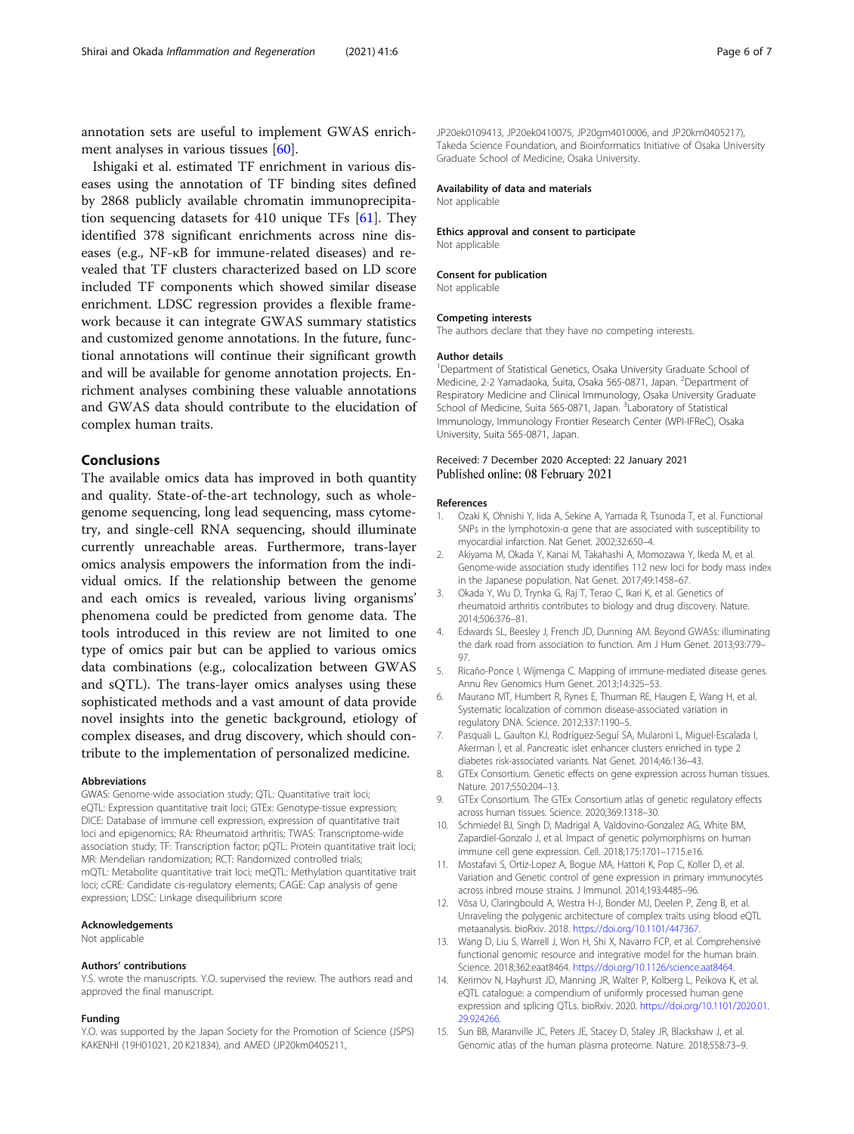<span id="page-5-0"></span>annotation sets are useful to implement GWAS enrichment analyses in various tissues [[60\]](#page-6-0).

Ishigaki et al. estimated TF enrichment in various diseases using the annotation of TF binding sites defined by 2868 publicly available chromatin immunoprecipitation sequencing datasets for 410 unique TFs [[61\]](#page-6-0). They identified 378 significant enrichments across nine diseases (e.g., NF-κB for immune-related diseases) and revealed that TF clusters characterized based on LD score included TF components which showed similar disease enrichment. LDSC regression provides a flexible framework because it can integrate GWAS summary statistics and customized genome annotations. In the future, functional annotations will continue their significant growth and will be available for genome annotation projects. Enrichment analyses combining these valuable annotations and GWAS data should contribute to the elucidation of complex human traits.

## Conclusions

The available omics data has improved in both quantity and quality. State-of-the-art technology, such as wholegenome sequencing, long lead sequencing, mass cytometry, and single-cell RNA sequencing, should illuminate currently unreachable areas. Furthermore, trans-layer omics analysis empowers the information from the individual omics. If the relationship between the genome and each omics is revealed, various living organisms' phenomena could be predicted from genome data. The tools introduced in this review are not limited to one type of omics pair but can be applied to various omics data combinations (e.g., colocalization between GWAS and sQTL). The trans-layer omics analyses using these sophisticated methods and a vast amount of data provide novel insights into the genetic background, etiology of complex diseases, and drug discovery, which should contribute to the implementation of personalized medicine.

#### Abbreviations

GWAS: Genome-wide association study; QTL: Quantitative trait loci; eQTL: Expression quantitative trait loci; GTEx: Genotype-tissue expression; DICE: Database of immune cell expression, expression of quantitative trait loci and epigenomics; RA: Rheumatoid arthritis; TWAS: Transcriptome-wide association study; TF: Transcription factor; pQTL: Protein quantitative trait loci; MR: Mendelian randomization; RCT: Randomized controlled trials; mQTL: Metabolite quantitative trait loci; meQTL: Methylation quantitative trait loci; cCRE: Candidate cis-regulatory elements; CAGE: Cap analysis of gene expression; LDSC: Linkage disequilibrium score

#### Acknowledgements

Not applicable

#### Authors' contributions

Y.S. wrote the manuscripts. Y.O. supervised the review. The authors read and approved the final manuscript.

#### Funding

Y.O. was supported by the Japan Society for the Promotion of Science (JSPS) KAKENHI (19H01021, 20 K21834), and AMED (JP20km0405211,

JP20ek0109413, JP20ek0410075, JP20gm4010006, and JP20km0405217), Takeda Science Foundation, and Bioinformatics Initiative of Osaka University Graduate School of Medicine, Osaka University.

#### Availability of data and materials

Not applicable

#### Ethics approval and consent to participate Not applicable

Consent for publication

Not applicable

#### Competing interests

The authors declare that they have no competing interests.

#### Author details

<sup>1</sup>Department of Statistical Genetics, Osaka University Graduate School of Medicine, 2-2 Yamadaoka, Suita, Osaka 565-0871, Japan. <sup>2</sup>Department of Respiratory Medicine and Clinical Immunology, Osaka University Graduate School of Medicine, Suita 565-0871, Japan. <sup>3</sup>Laboratory of Statistical Immunology, Immunology Frontier Research Center (WPI-IFReC), Osaka University, Suita 565-0871, Japan.

#### Received: 7 December 2020 Accepted: 22 January 2021 Published online: 08 February 2021

#### References

- 1. Ozaki K, Ohnishi Y, Iida A, Sekine A, Yamada R, Tsunoda T, et al. Functional SNPs in the lymphotoxin-α gene that are associated with susceptibility to myocardial infarction. Nat Genet. 2002;32:650–4.
- 2. Akiyama M, Okada Y, Kanai M, Takahashi A, Momozawa Y, Ikeda M, et al. Genome-wide association study identifies 112 new loci for body mass index in the Japanese population. Nat Genet. 2017;49:1458–67.
- 3. Okada Y, Wu D, Trynka G, Raj T, Terao C, Ikari K, et al. Genetics of rheumatoid arthritis contributes to biology and drug discovery. Nature. 2014;506:376–81.
- 4. Edwards SL, Beesley J, French JD, Dunning AM. Beyond GWASs: illuminating the dark road from association to function. Am J Hum Genet. 2013;93:779– 97.
- 5. Ricaño-Ponce I, Wijmenga C. Mapping of immune-mediated disease genes. Annu Rev Genomics Hum Genet. 2013;14:325–53.
- 6. Maurano MT, Humbert R, Rynes E, Thurman RE, Haugen E, Wang H, et al. Systematic localization of common disease-associated variation in regulatory DNA. Science. 2012;337:1190–5.
- 7. Pasquali L, Gaulton KJ, Rodríguez-Seguí SA, Mularoni L, Miguel-Escalada I, Akerman İ, et al. Pancreatic islet enhancer clusters enriched in type 2 diabetes risk-associated variants. Nat Genet. 2014;46:136–43.
- 8. GTEx Consortium. Genetic effects on gene expression across human tissues. Nature. 2017;550:204–13.
- 9. GTEx Consortium. The GTEx Consortium atlas of genetic regulatory effects across human tissues. Science. 2020;369:1318–30.
- 10. Schmiedel BJ, Singh D, Madrigal A, Valdovino-Gonzalez AG, White BM, Zapardiel-Gonzalo J, et al. Impact of genetic polymorphisms on human immune cell gene expression. Cell. 2018;175:1701–1715.e16.
- 11. Mostafavi S, Ortiz-Lopez A, Bogue MA, Hattori K, Pop C, Koller D, et al. Variation and Genetic control of gene expression in primary immunocytes across inbred mouse strains. J Immunol. 2014;193:4485–96.
- 12. Võsa U, Claringbould A, Westra H-J, Bonder MJ, Deelen P, Zeng B, et al. Unraveling the polygenic architecture of complex traits using blood eQTL metaanalysis. bioRxiv. 2018. <https://doi.org/10.1101/447367>.
- 13. Wang D, Liu S, Warrell J, Won H, Shi X, Navarro FCP, et al. Comprehensive functional genomic resource and integrative model for the human brain. Science. 2018;362:eaat8464. <https://doi.org/10.1126/science.aat8464>.
- 14. Kerimov N, Hayhurst JD, Manning JR, Walter P, Kolberg L, Peikova K, et al. eQTL catalogue: a compendium of uniformly processed human gene expression and splicing QTLs. bioRxiv. 2020. [https://doi.org/10.1101/2020.01.](https://doi.org/10.1101/2020.01.29.924266) [29.924266](https://doi.org/10.1101/2020.01.29.924266).
- 15. Sun BB, Maranville JC, Peters JE, Stacey D, Staley JR, Blackshaw J, et al. Genomic atlas of the human plasma proteome. Nature. 2018;558:73–9.